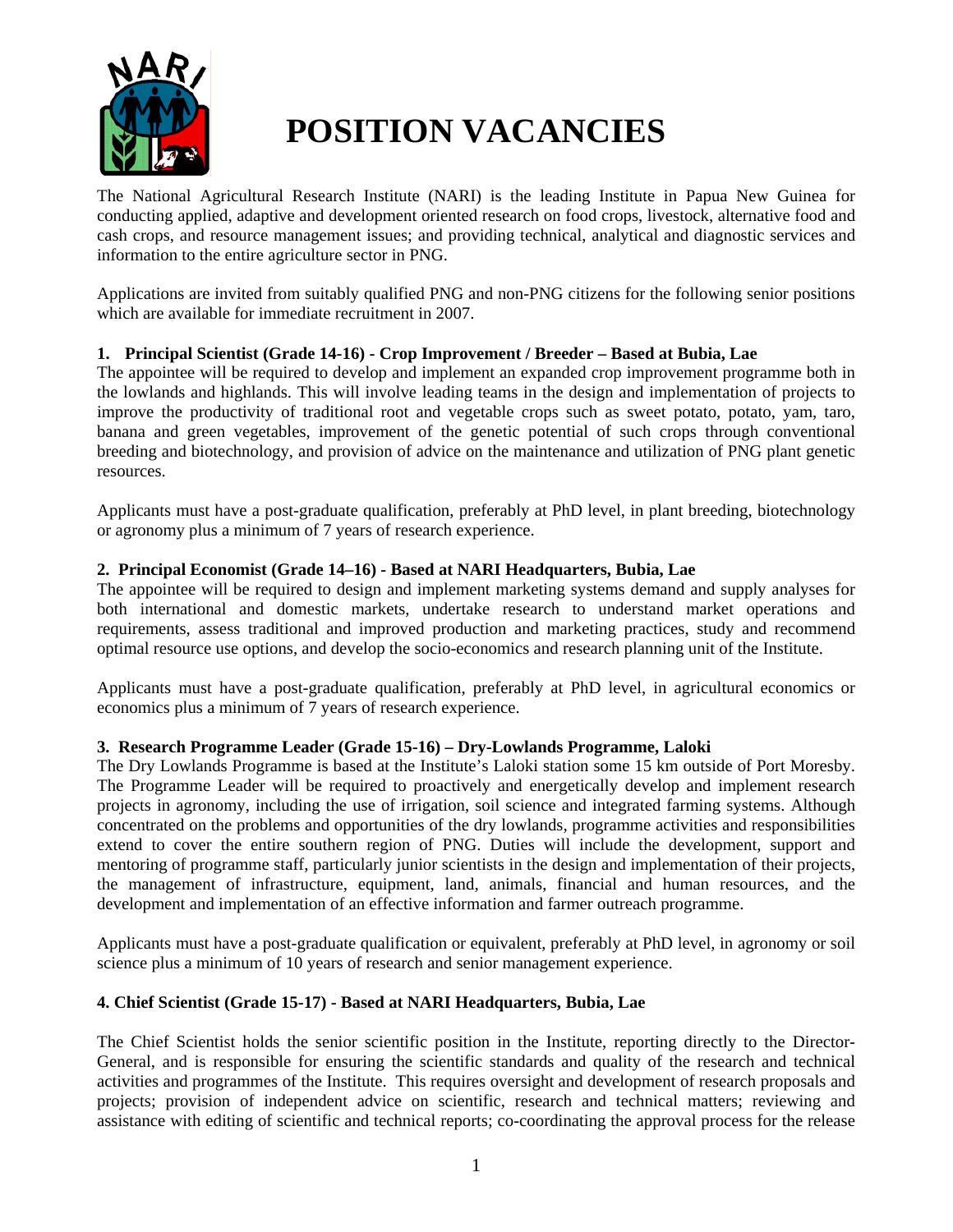

# **POSITION VACANCIES**

The National Agricultural Research Institute (NARI) is the leading Institute in Papua New Guinea for conducting applied, adaptive and development oriented research on food crops, livestock, alternative food and cash crops, and resource management issues; and providing technical, analytical and diagnostic services and information to the entire agriculture sector in PNG.

Applications are invited from suitably qualified PNG and non-PNG citizens for the following senior positions which are available for immediate recruitment in 2007.

# **1. Principal Scientist (Grade 14-16) - Crop Improvement / Breeder – Based at Bubia, Lae**

The appointee will be required to develop and implement an expanded crop improvement programme both in the lowlands and highlands. This will involve leading teams in the design and implementation of projects to improve the productivity of traditional root and vegetable crops such as sweet potato, potato, yam, taro, banana and green vegetables, improvement of the genetic potential of such crops through conventional breeding and biotechnology, and provision of advice on the maintenance and utilization of PNG plant genetic resources.

Applicants must have a post-graduate qualification, preferably at PhD level, in plant breeding, biotechnology or agronomy plus a minimum of 7 years of research experience.

# **2. Principal Economist (Grade 14–16) - Based at NARI Headquarters, Bubia, Lae**

The appointee will be required to design and implement marketing systems demand and supply analyses for both international and domestic markets, undertake research to understand market operations and requirements, assess traditional and improved production and marketing practices, study and recommend optimal resource use options, and develop the socio-economics and research planning unit of the Institute.

Applicants must have a post-graduate qualification, preferably at PhD level, in agricultural economics or economics plus a minimum of 7 years of research experience.

#### **3. Research Programme Leader (Grade 15-16) – Dry-Lowlands Programme, Laloki**

The Dry Lowlands Programme is based at the Institute's Laloki station some 15 km outside of Port Moresby. The Programme Leader will be required to proactively and energetically develop and implement research projects in agronomy, including the use of irrigation, soil science and integrated farming systems. Although concentrated on the problems and opportunities of the dry lowlands, programme activities and responsibilities extend to cover the entire southern region of PNG. Duties will include the development, support and mentoring of programme staff, particularly junior scientists in the design and implementation of their projects, the management of infrastructure, equipment, land, animals, financial and human resources, and the development and implementation of an effective information and farmer outreach programme.

Applicants must have a post-graduate qualification or equivalent, preferably at PhD level, in agronomy or soil science plus a minimum of 10 years of research and senior management experience.

# **4. Chief Scientist (Grade 15-17) - Based at NARI Headquarters, Bubia, Lae**

The Chief Scientist holds the senior scientific position in the Institute, reporting directly to the Director-General, and is responsible for ensuring the scientific standards and quality of the research and technical activities and programmes of the Institute. This requires oversight and development of research proposals and projects; provision of independent advice on scientific, research and technical matters; reviewing and assistance with editing of scientific and technical reports; co-coordinating the approval process for the release